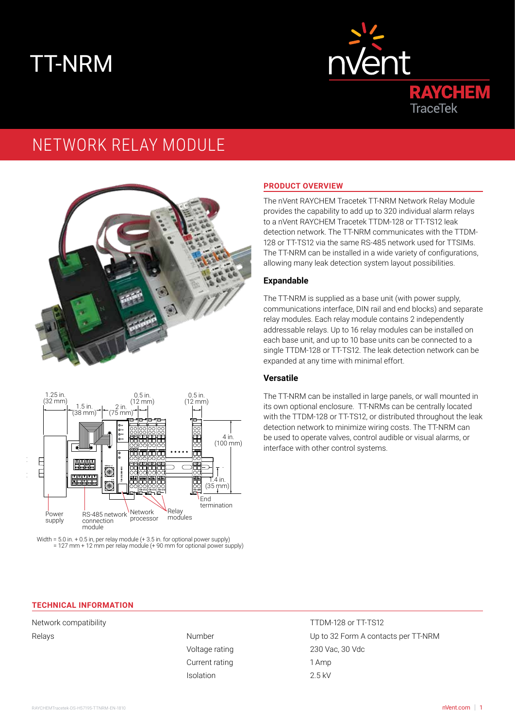# TT-NRM



# NETWORK RELAY MODULE







# **PRODUCT OVERVIEW**

The nVent RAYCHEM Tracetek TT-NRM Network Relay Module provides the capability to add up to 320 individual alarm relays to a nVent RAYCHEM Tracetek TTDM-128 or TT-TS12 leak detection network. The TT-NRM communicates with the TTDM-128 or TT-TS12 via the same RS-485 network used for TTSIMs. The TT-NRM can be installed in a wide variety of configurations, allowing many leak detection system layout possibilities.

# **Expandable**

The TT-NRM is supplied as a base unit (with power supply, communications interface, DIN rail and end blocks) and separate relay modules. Each relay module contains 2 independently addressable relays. Up to 16 relay modules can be installed on each base unit, and up to 10 base units can be connected to a single TTDM-128 or TT-TS12. The leak detection network can be expanded at any time with minimal effort.

# **Versatile**

The TT-NRM can be installed in large panels, or wall mounted in its own optional enclosure. TT-NRMs can be centrally located with the TTDM-128 or TT-TS12, or distributed throughout the leak detection network to minimize wiring costs. The TT-NRM can be used to operate valves, control audible or visual alarms, or interface with other control systems.

#### **TECHNICAL INFORMATION**

Network compatibility TTDM-128 or TT-TS12

Current rating 1 Amp Isolation 2.5 kV

Relays **Number** Number **Number** Up to 32 Form A contacts per TT-NRM Voltage rating 230 Vac, 30 Vdc